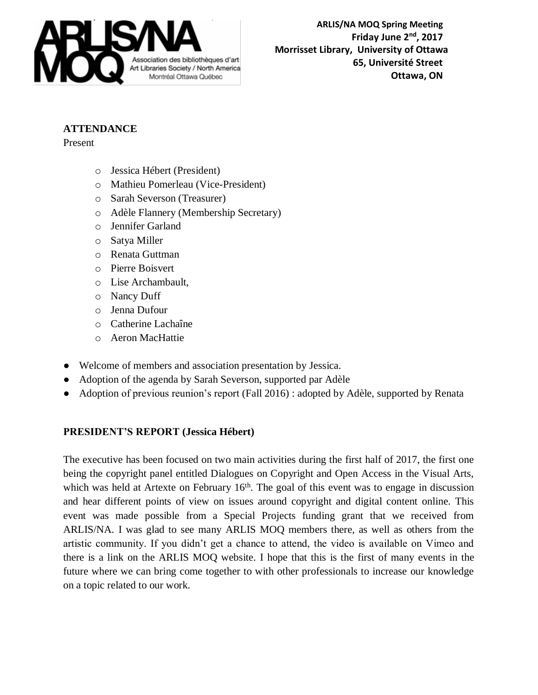

**ARLIS/NA MOQ Spring Meeting Example 2nd** *Friday June 2<sup>nd</sup>, 2017* **Morrisset Library, University of Ottawa** Association des bibliothèques d'art<br>Art Libraries Society / North America **Ottawa, ON**

## **ATTENDANCE**

Present

- o Jessica Hébert (President)
- o Mathieu Pomerleau (Vice-President)
- o Sarah Severson (Treasurer)
- o Adèle Flannery (Membership Secretary)
- o Jennifer Garland
- o Satya Miller
- o Renata Guttman
- o Pierre Boisvert
- o Lise Archambault,
- o Nancy Duff
- o Jenna Dufour
- o Catherine Lachaîne
- o Aeron MacHattie
- Welcome of members and association presentation by Jessica.
- Adoption of the agenda by Sarah Severson, supported par Adèle
- Adoption of previous reunion's report (Fall 2016) : adopted by Adèle, supported by Renata

## **PRESIDENT'S REPORT (Jessica Hébert)**

The executive has been focused on two main activities during the first half of 2017, the first one being the copyright panel entitled Dialogues on Copyright and Open Access in the Visual Arts, which was held at Artexte on February 16<sup>th</sup>. The goal of this event was to engage in discussion and hear different points of view on issues around copyright and digital content online. This event was made possible from a Special Projects funding grant that we received from ARLIS/NA. I was glad to see many ARLIS MOQ members there, as well as others from the artistic community. If you didn't get a chance to attend, the video is available on Vimeo and there is a link on the ARLIS MOQ website. I hope that this is the first of many events in the future where we can bring come together to with other professionals to increase our knowledge on a topic related to our work.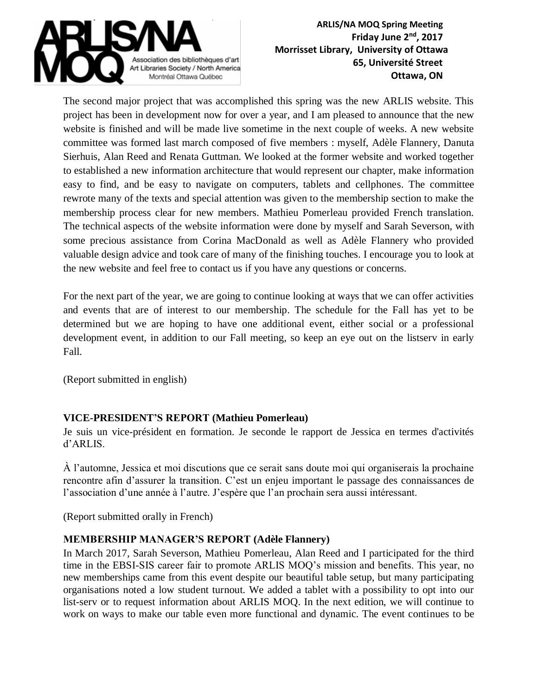

The second major project that was accomplished this spring was the new ARLIS website. This project has been in development now for over a year, and I am pleased to announce that the new website is finished and will be made live sometime in the next couple of weeks. A new website committee was formed last march composed of five members : myself, Adèle Flannery, Danuta Sierhuis, Alan Reed and Renata Guttman. We looked at the former website and worked together to established a new information architecture that would represent our chapter, make information easy to find, and be easy to navigate on computers, tablets and cellphones. The committee rewrote many of the texts and special attention was given to the membership section to make the membership process clear for new members. Mathieu Pomerleau provided French translation. The technical aspects of the website information were done by myself and Sarah Severson, with some precious assistance from Corina MacDonald as well as Adèle Flannery who provided valuable design advice and took care of many of the finishing touches. I encourage you to look at the new website and feel free to contact us if you have any questions or concerns.

For the next part of the year, we are going to continue looking at ways that we can offer activities and events that are of interest to our membership. The schedule for the Fall has yet to be determined but we are hoping to have one additional event, either social or a professional development event, in addition to our Fall meeting, so keep an eye out on the listserv in early Fall.

(Report submitted in english)

## **VICE-PRESIDENT'S REPORT (Mathieu Pomerleau)**

Je suis un vice-président en formation. Je seconde le rapport de Jessica en termes d'activités d'ARLIS.

À l'automne, Jessica et moi discutions que ce serait sans doute moi qui organiserais la prochaine rencontre afin d'assurer la transition. C'est un enjeu important le passage des connaissances de l'association d'une année à l'autre. J'espère que l'an prochain sera aussi intéressant.

(Report submitted orally in French)

## **MEMBERSHIP MANAGER'S REPORT (Adèle Flannery)**

In March 2017, Sarah Severson, Mathieu Pomerleau, Alan Reed and I participated for the third time in the EBSI-SIS career fair to promote ARLIS MOQ's mission and benefits. This year, no new memberships came from this event despite our beautiful table setup, but many participating organisations noted a low student turnout. We added a tablet with a possibility to opt into our list-serv or to request information about ARLIS MOQ. In the next edition, we will continue to work on ways to make our table even more functional and dynamic. The event continues to be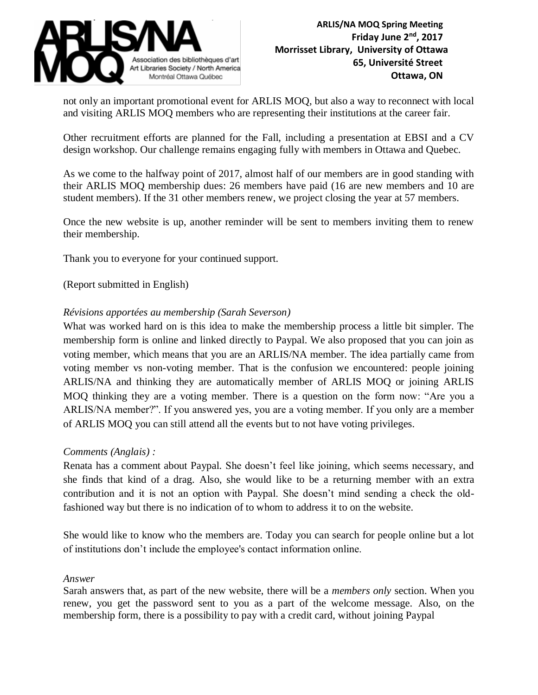

not only an important promotional event for ARLIS MOQ, but also a way to reconnect with local and visiting ARLIS MOQ members who are representing their institutions at the career fair.

Other recruitment efforts are planned for the Fall, including a presentation at EBSI and a CV design workshop. Our challenge remains engaging fully with members in Ottawa and Quebec.

As we come to the halfway point of 2017, almost half of our members are in good standing with their ARLIS MOQ membership dues: 26 members have paid (16 are new members and 10 are student members). If the 31 other members renew, we project closing the year at 57 members.

Once the new website is up, another reminder will be sent to members inviting them to renew their membership.

Thank you to everyone for your continued support.

(Report submitted in English)

#### *Révisions apportées au membership (Sarah Severson)*

What was worked hard on is this idea to make the membership process a little bit simpler. The membership form is online and linked directly to Paypal. We also proposed that you can join as voting member, which means that you are an ARLIS/NA member. The idea partially came from voting member vs non-voting member. That is the confusion we encountered: people joining ARLIS/NA and thinking they are automatically member of ARLIS MOQ or joining ARLIS MOQ thinking they are a voting member. There is a question on the form now: "Are you a ARLIS/NA member?". If you answered yes, you are a voting member. If you only are a member of ARLIS MOQ you can still attend all the events but to not have voting privileges.

#### *Comments (Anglais) :*

Renata has a comment about Paypal. She doesn't feel like joining, which seems necessary, and she finds that kind of a drag. Also, she would like to be a returning member with an extra contribution and it is not an option with Paypal. She doesn't mind sending a check the oldfashioned way but there is no indication of to whom to address it to on the website.

She would like to know who the members are. Today you can search for people online but a lot of institutions don't include the employee's contact information online.

#### *Answer*

Sarah answers that, as part of the new website, there will be a *members only* section. When you renew, you get the password sent to you as a part of the welcome message. Also, on the membership form, there is a possibility to pay with a credit card, without joining Paypal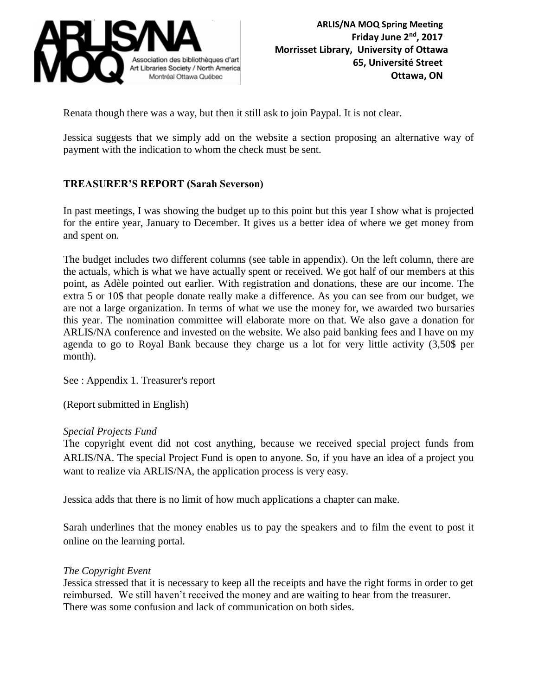

Renata though there was a way, but then it still ask to join Paypal. It is not clear.

Jessica suggests that we simply add on the website a section proposing an alternative way of payment with the indication to whom the check must be sent.

## **TREASURER'S REPORT (Sarah Severson)**

In past meetings, I was showing the budget up to this point but this year I show what is projected for the entire year, January to December. It gives us a better idea of where we get money from and spent on.

The budget includes two different columns (see table in appendix). On the left column, there are the actuals, which is what we have actually spent or received. We got half of our members at this point, as Adèle pointed out earlier. With registration and donations, these are our income. The extra 5 or 10\$ that people donate really make a difference. As you can see from our budget, we are not a large organization. In terms of what we use the money for, we awarded two bursaries this year. The nomination committee will elaborate more on that. We also gave a donation for ARLIS/NA conference and invested on the website. We also paid banking fees and I have on my agenda to go to Royal Bank because they charge us a lot for very little activity (3,50\$ per month).

See : Appendix 1. Treasurer's report

(Report submitted in English)

#### *Special Projects Fund*

The copyright event did not cost anything, because we received special project funds from ARLIS/NA. The special Project Fund is open to anyone. So, if you have an idea of a project you want to realize via ARLIS/NA, the application process is very easy.

Jessica adds that there is no limit of how much applications a chapter can make.

Sarah underlines that the money enables us to pay the speakers and to film the event to post it online on the learning portal.

#### *The Copyright Event*

Jessica stressed that it is necessary to keep all the receipts and have the right forms in order to get reimbursed. We still haven't received the money and are waiting to hear from the treasurer. There was some confusion and lack of communication on both sides.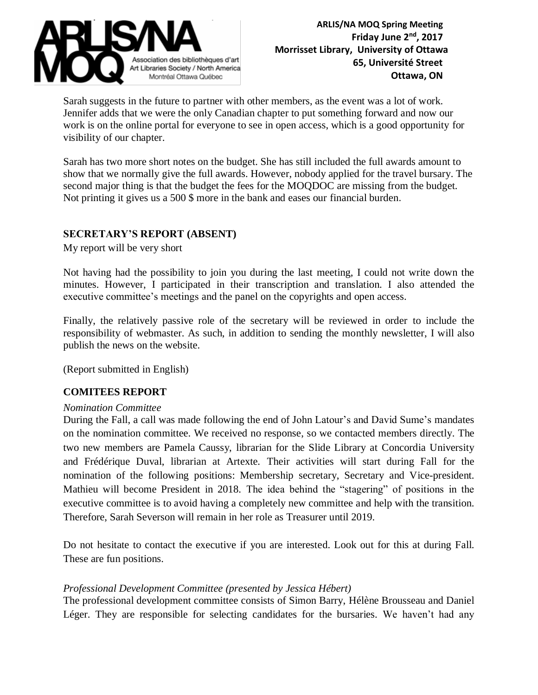

Sarah suggests in the future to partner with other members, as the event was a lot of work. Jennifer adds that we were the only Canadian chapter to put something forward and now our work is on the online portal for everyone to see in open access, which is a good opportunity for visibility of our chapter.

Sarah has two more short notes on the budget. She has still included the full awards amount to show that we normally give the full awards. However, nobody applied for the travel bursary. The second major thing is that the budget the fees for the MOQDOC are missing from the budget. Not printing it gives us a 500 \$ more in the bank and eases our financial burden.

## **SECRETARY'S REPORT (ABSENT)**

My report will be very short

Not having had the possibility to join you during the last meeting, I could not write down the minutes. However, I participated in their transcription and translation. I also attended the executive committee's meetings and the panel on the copyrights and open access.

Finally, the relatively passive role of the secretary will be reviewed in order to include the responsibility of webmaster. As such, in addition to sending the monthly newsletter, I will also publish the news on the website.

(Report submitted in English)

## **COMITEES REPORT**

#### *Nomination Committee*

During the Fall, a call was made following the end of John Latour's and David Sume's mandates on the nomination committee. We received no response, so we contacted members directly. The two new members are Pamela Caussy, librarian for the Slide Library at Concordia University and Frédérique Duval, librarian at Artexte. Their activities will start during Fall for the nomination of the following positions: Membership secretary, Secretary and Vice-president. Mathieu will become President in 2018. The idea behind the "stagering" of positions in the executive committee is to avoid having a completely new committee and help with the transition. Therefore, Sarah Severson will remain in her role as Treasurer until 2019.

Do not hesitate to contact the executive if you are interested. Look out for this at during Fall. These are fun positions.

#### *Professional Development Committee (presented by Jessica Hébert)*

The professional development committee consists of Simon Barry, Hélène Brousseau and Daniel Léger. They are responsible for selecting candidates for the bursaries. We haven't had any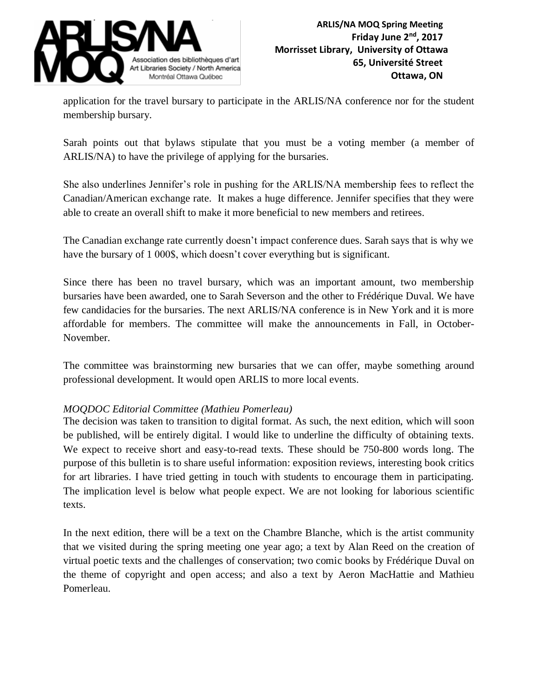

application for the travel bursary to participate in the ARLIS/NA conference nor for the student membership bursary.

Sarah points out that bylaws stipulate that you must be a voting member (a member of ARLIS/NA) to have the privilege of applying for the bursaries.

She also underlines Jennifer's role in pushing for the ARLIS/NA membership fees to reflect the Canadian/American exchange rate. It makes a huge difference. Jennifer specifies that they were able to create an overall shift to make it more beneficial to new members and retirees.

The Canadian exchange rate currently doesn't impact conference dues. Sarah says that is why we have the bursary of 1 000\$, which doesn't cover everything but is significant.

Since there has been no travel bursary, which was an important amount, two membership bursaries have been awarded, one to Sarah Severson and the other to Frédérique Duval. We have few candidacies for the bursaries. The next ARLIS/NA conference is in New York and it is more affordable for members. The committee will make the announcements in Fall, in October-November.

The committee was brainstorming new bursaries that we can offer, maybe something around professional development. It would open ARLIS to more local events.

## *MOQDOC Editorial Committee (Mathieu Pomerleau)*

The decision was taken to transition to digital format. As such, the next edition, which will soon be published, will be entirely digital. I would like to underline the difficulty of obtaining texts. We expect to receive short and easy-to-read texts. These should be 750-800 words long. The purpose of this bulletin is to share useful information: exposition reviews, interesting book critics for art libraries. I have tried getting in touch with students to encourage them in participating. The implication level is below what people expect. We are not looking for laborious scientific texts.

In the next edition, there will be a text on the Chambre Blanche, which is the artist community that we visited during the spring meeting one year ago; a text by Alan Reed on the creation of virtual poetic texts and the challenges of conservation; two comic books by Frédérique Duval on the theme of copyright and open access; and also a text by Aeron MacHattie and Mathieu Pomerleau.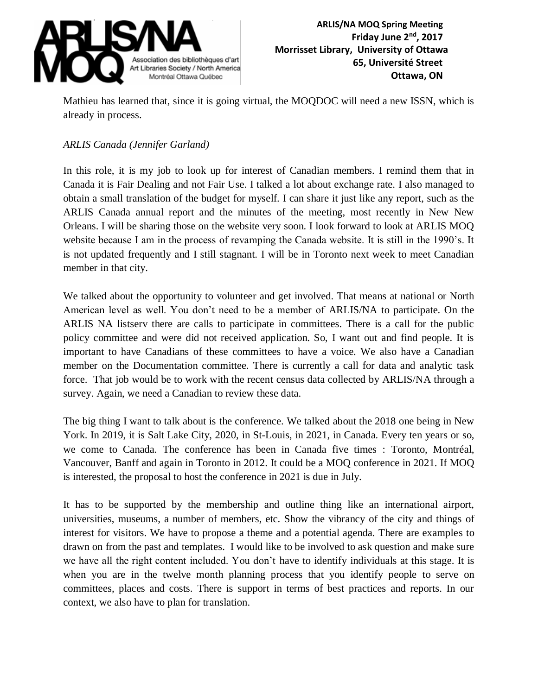

Mathieu has learned that, since it is going virtual, the MOQDOC will need a new ISSN, which is already in process.

## *ARLIS Canada (Jennifer Garland)*

In this role, it is my job to look up for interest of Canadian members. I remind them that in Canada it is Fair Dealing and not Fair Use. I talked a lot about exchange rate. I also managed to obtain a small translation of the budget for myself. I can share it just like any report, such as the ARLIS Canada annual report and the minutes of the meeting, most recently in New New Orleans. I will be sharing those on the website very soon. I look forward to look at ARLIS MOQ website because I am in the process of revamping the Canada website. It is still in the 1990's. It is not updated frequently and I still stagnant. I will be in Toronto next week to meet Canadian member in that city.

We talked about the opportunity to volunteer and get involved. That means at national or North American level as well. You don't need to be a member of ARLIS/NA to participate. On the ARLIS NA listserv there are calls to participate in committees. There is a call for the public policy committee and were did not received application. So, I want out and find people. It is important to have Canadians of these committees to have a voice. We also have a Canadian member on the Documentation committee. There is currently a call for data and analytic task force. That job would be to work with the recent census data collected by ARLIS/NA through a survey. Again, we need a Canadian to review these data.

The big thing I want to talk about is the conference. We talked about the 2018 one being in New York. In 2019, it is Salt Lake City, 2020, in St-Louis, in 2021, in Canada. Every ten years or so, we come to Canada. The conference has been in Canada five times : Toronto, Montréal, Vancouver, Banff and again in Toronto in 2012. It could be a MOQ conference in 2021. If MOQ is interested, the proposal to host the conference in 2021 is due in July.

It has to be supported by the membership and outline thing like an international airport, universities, museums, a number of members, etc. Show the vibrancy of the city and things of interest for visitors. We have to propose a theme and a potential agenda. There are examples to drawn on from the past and templates. I would like to be involved to ask question and make sure we have all the right content included. You don't have to identify individuals at this stage. It is when you are in the twelve month planning process that you identify people to serve on committees, places and costs. There is support in terms of best practices and reports. In our context, we also have to plan for translation.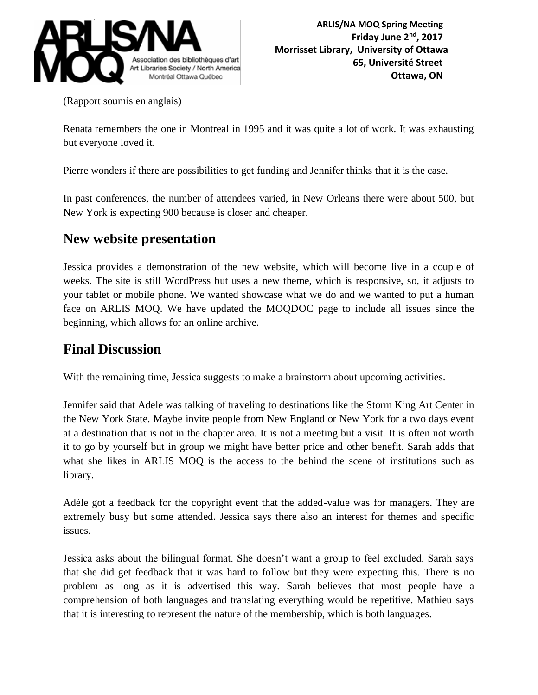

(Rapport soumis en anglais)

Renata remembers the one in Montreal in 1995 and it was quite a lot of work. It was exhausting but everyone loved it.

Pierre wonders if there are possibilities to get funding and Jennifer thinks that it is the case.

In past conferences, the number of attendees varied, in New Orleans there were about 500, but New York is expecting 900 because is closer and cheaper.

# **New website presentation**

Jessica provides a demonstration of the new website, which will become live in a couple of weeks. The site is still WordPress but uses a new theme, which is responsive, so, it adjusts to your tablet or mobile phone. We wanted showcase what we do and we wanted to put a human face on ARLIS MOQ. We have updated the MOQDOC page to include all issues since the beginning, which allows for an online archive.

# **Final Discussion**

With the remaining time, Jessica suggests to make a brainstorm about upcoming activities.

Jennifer said that Adele was talking of traveling to destinations like the Storm King Art Center in the New York State. Maybe invite people from New England or New York for a two days event at a destination that is not in the chapter area. It is not a meeting but a visit. It is often not worth it to go by yourself but in group we might have better price and other benefit. Sarah adds that what she likes in ARLIS MOQ is the access to the behind the scene of institutions such as library.

Adèle got a feedback for the copyright event that the added-value was for managers. They are extremely busy but some attended. Jessica says there also an interest for themes and specific issues.

Jessica asks about the bilingual format. She doesn't want a group to feel excluded. Sarah says that she did get feedback that it was hard to follow but they were expecting this. There is no problem as long as it is advertised this way. Sarah believes that most people have a comprehension of both languages and translating everything would be repetitive. Mathieu says that it is interesting to represent the nature of the membership, which is both languages.